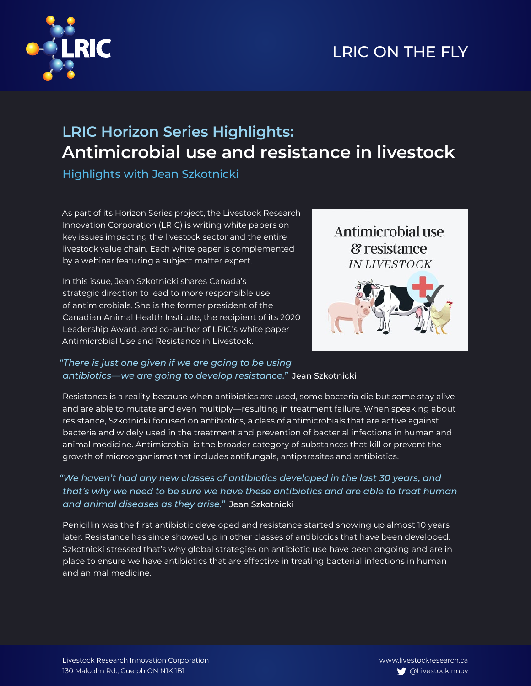

## **LRIC Horizon Series Highlights: Antimicrobial use and resistance in livestock**

Highlights with Jean Szkotnicki

As part of its Horizon Series project, the Livestock Research Innovation Corporation (LRIC) is writing white papers on key issues impacting the livestock sector and the entire livestock value chain. Each white paper is complemented by a webinar featuring a subject matter expert.

In this issue, Jean Szkotnicki shares Canada's strategic direction to lead to more responsible use of antimicrobials. She is the former president of the Canadian Animal Health Institute, the recipient of its 2020 Leadership Award, and co-author of LRIC's white paper Antimicrobial Use and Resistance in Livestock.



### *"There is just one given if we are going to be using antibiotics—we are going to develop resistance."* Jean Szkotnicki

Resistance is a reality because when antibiotics are used, some bacteria die but some stay alive and are able to mutate and even multiply—resulting in treatment failure. When speaking about resistance, Szkotnicki focused on antibiotics, a class of antimicrobials that are active against bacteria and widely used in the treatment and prevention of bacterial infections in human and animal medicine. Antimicrobial is the broader category of substances that kill or prevent the growth of microorganisms that includes antifungals, antiparasites and antibiotics.

### *"We haven't had any new classes of antibiotics developed in the last 30 years, and that's why we need to be sure we have these antibiotics and are able to treat human and animal diseases as they arise."* Jean Szkotnicki

Penicillin was the first antibiotic developed and resistance started showing up almost 10 years later. Resistance has since showed up in other classes of antibiotics that have been developed. Szkotnicki stressed that's why global strategies on antibiotic use have been ongoing and are in place to ensure we have antibiotics that are effective in treating bacterial infections in human and animal medicine.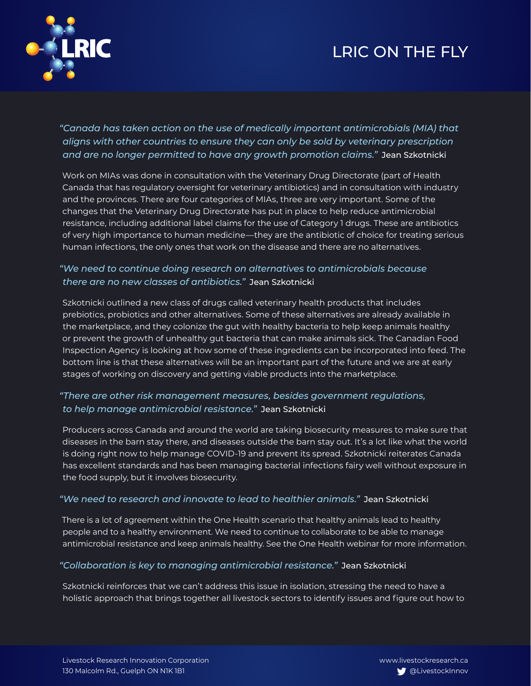# LRIC ON THE FLY



*"Canada has taken action on the use of medically important antimicrobials (MIA) that aligns with other countries to ensure they can only be sold by veterinary prescription and are no longer permitted to have any growth promotion claims."* Jean Szkotnicki

Work on MIAs was done in consultation with the Veterinary Drug Directorate (part of Health Canada that has regulatory oversight for veterinary antibiotics) and in consultation with industry and the provinces. There are four categories of MIAs, three are very important. Some of the changes that the Veterinary Drug Directorate has put in place to help reduce antimicrobial resistance, including additional label claims for the use of Category 1 drugs. These are antibiotics of very high importance to human medicine—they are the antibiotic of choice for treating serious human infections, the only ones that work on the disease and there are no alternatives.

### *"We need to continue doing research on alternatives to antimicrobials because there are no new classes of antibiotics."* Jean Szkotnicki

Szkotnicki outlined a new class of drugs called veterinary health products that includes prebiotics, probiotics and other alternatives. Some of these alternatives are already available in the marketplace, and they colonize the gut with healthy bacteria to help keep animals healthy or prevent the growth of unhealthy gut bacteria that can make animals sick. The Canadian Food Inspection Agency is looking at how some of these ingredients can be incorporated into feed. The bottom line is that these alternatives will be an important part of the future and we are at early stages of working on discovery and getting viable products into the marketplace.

### *"There are other risk management measures, besides government regulations, to help manage antimicrobial resistance."* Jean Szkotnicki

Producers across Canada and around the world are taking biosecurity measures to make sure that diseases in the barn stay there, and diseases outside the barn stay out. It's a lot like what the world is doing right now to help manage COVID-19 and prevent its spread. Szkotnicki reiterates Canada has excellent standards and has been managing bacterial infections fairy well without exposure in the food supply, but it involves biosecurity.

#### *"We need to research and innovate to lead to healthier animals."* Jean Szkotnicki

There is a lot of agreement within the One Health scenario that healthy animals lead to healthy people and to a healthy environment. We need to continue to collaborate to be able to manage antimicrobial resistance and keep animals healthy. See the One Health webinar for more information.

#### *"Collaboration is key to managing antimicrobial resistance."* Jean Szkotnicki

Szkotnicki reinforces that we can't address this issue in isolation, stressing the need to have a holistic approach that brings together all livestock sectors to identify issues and figure out how to